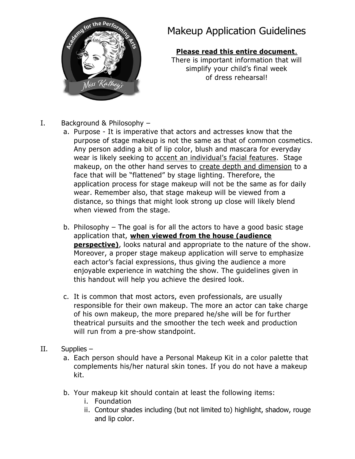

# Makeup Application Guidelines

#### **Please read this entire document**.

There is important information that will simplify your child's final week of dress rehearsal!

- I. Background & Philosophy
	- a. Purpose It is imperative that actors and actresses know that the purpose of stage makeup is not the same as that of common cosmetics. Any person adding a bit of lip color, blush and mascara for everyday wear is likely seeking to accent an individual's facial features. Stage makeup, on the other hand serves to create depth and dimension to a face that will be "flattened" by stage lighting. Therefore, the application process for stage makeup will not be the same as for daily wear. Remember also, that stage makeup will be viewed from a distance, so things that might look strong up close will likely blend when viewed from the stage.
	- b. Philosophy The goal is for all the actors to have a good basic stage application that, **when viewed from the house (audience perspective)**, looks natural and appropriate to the nature of the show. Moreover, a proper stage makeup application will serve to emphasize each actor's facial expressions, thus giving the audience a more enjoyable experience in watching the show. The guidelines given in this handout will help you achieve the desired look.
	- c. It is common that most actors, even professionals, are usually responsible for their own makeup. The more an actor can take charge of his own makeup, the more prepared he/she will be for further theatrical pursuits and the smoother the tech week and production will run from a pre-show standpoint.
- II. Supplies
	- a. Each person should have a Personal Makeup Kit in a color palette that complements his/her natural skin tones. If you do not have a makeup kit.
	- b. Your makeup kit should contain at least the following items:
		- i. Foundation
		- ii. Contour shades including (but not limited to) highlight, shadow, rouge and lip color.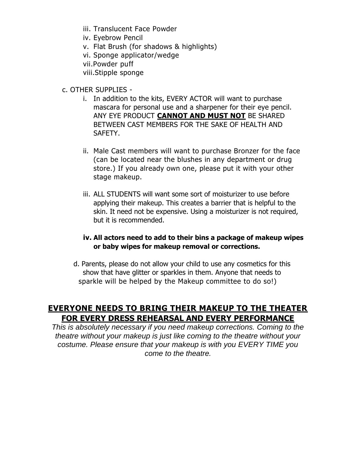- iii. Translucent Face Powder
- iv. Eyebrow Pencil
- v. Flat Brush (for shadows & highlights)
- vi. Sponge applicator/wedge
- vii.Powder puff

viii.Stipple sponge

- c. OTHER SUPPLIES
	- i. In addition to the kits, EVERY ACTOR will want to purchase mascara for personal use and a sharpener for their eye pencil. ANY EYE PRODUCT **CANNOT AND MUST NOT** BE SHARED BETWEEN CAST MEMBERS FOR THE SAKE OF HEALTH AND SAFETY.
	- ii. Male Cast members will want to purchase Bronzer for the face (can be located near the blushes in any department or drug store.) If you already own one, please put it with your other stage makeup.
	- iii. ALL STUDENTS will want some sort of moisturizer to use before applying their makeup. This creates a barrier that is helpful to the skin. It need not be expensive. Using a moisturizer is not required, but it is recommended.

#### **iv. All actors need to add to their bins a package of makeup wipes or baby wipes for makeup removal or corrections.**

d. Parents, please do not allow your child to use any cosmetics for this show that have glitter or sparkles in them. Anyone that needs to sparkle will be helped by the Makeup committee to do so!)

# **EVERYONE NEEDS TO BRING THEIR MAKEUP TO THE THEATER FOR EVERY DRESS REHEARSAL AND EVERY PERFORMANCE**

*This is absolutely necessary if you need makeup corrections. Coming to the theatre without your makeup is just like coming to the theatre without your costume. Please ensure that your makeup is with you EVERY TIME you come to the theatre.*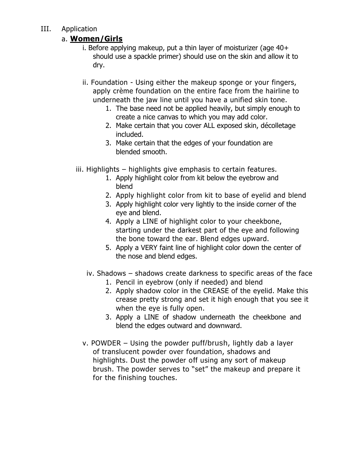## III. Application

## a. **Women/Girls**

- i. Before applying makeup, put a thin layer of moisturizer (age 40+ should use a spackle primer) should use on the skin and allow it to dry.
- ii. Foundation Using either the makeup sponge or your fingers, apply crème foundation on the entire face from the hairline to underneath the jaw line until you have a unified skin tone.
	- 1. The base need not be applied heavily, but simply enough to create a nice canvas to which you may add color.
	- 2. Make certain that you cover ALL exposed skin, décolletage included.
	- 3. Make certain that the edges of your foundation are blended smooth.
- iii. Highlights highlights give emphasis to certain features.
	- 1. Apply highlight color from kit below the eyebrow and blend
	- 2. Apply highlight color from kit to base of eyelid and blend
	- 3. Apply highlight color very lightly to the inside corner of the eye and blend.
	- 4. Apply a LINE of highlight color to your cheekbone, starting under the darkest part of the eye and following the bone toward the ear. Blend edges upward.
	- 5. Apply a VERY faint line of highlight color down the center of the nose and blend edges.
	- iv. Shadows shadows create darkness to specific areas of the face
		- 1. Pencil in eyebrow (only if needed) and blend
		- 2. Apply shadow color in the CREASE of the eyelid. Make this crease pretty strong and set it high enough that you see it when the eye is fully open.
		- 3. Apply a LINE of shadow underneath the cheekbone and blend the edges outward and downward.
	- v. POWDER Using the powder puff/brush, lightly dab a layer of translucent powder over foundation, shadows and highlights. Dust the powder off using any sort of makeup brush. The powder serves to "set" the makeup and prepare it for the finishing touches.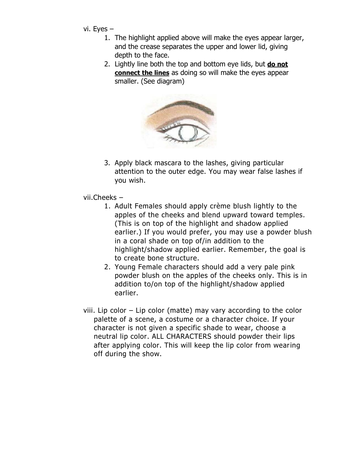- vi. Eyes
	- 1. The highlight applied above will make the eyes appear larger, and the crease separates the upper and lower lid, giving depth to the face.
	- 2. Lightly line both the top and bottom eye lids, but **do not connect the lines** as doing so will make the eyes appear smaller. (See diagram)



- 3. Apply black mascara to the lashes, giving particular attention to the outer edge. You may wear false lashes if you wish.
- vii.Cheeks
	- 1. Adult Females should apply crème blush lightly to the apples of the cheeks and blend upward toward temples. (This is on top of the highlight and shadow applied earlier.) If you would prefer, you may use a powder blush in a coral shade on top of/in addition to the highlight/shadow applied earlier. Remember, the goal is to create bone structure.
	- 2. Young Female characters should add a very pale pink powder blush on the apples of the cheeks only. This is in addition to/on top of the highlight/shadow applied earlier.
- viii. Lip color Lip color (matte) may vary according to the color palette of a scene, a costume or a character choice. If your character is not given a specific shade to wear, choose a neutral lip color. ALL CHARACTERS should powder their lips after applying color. This will keep the lip color from wearing off during the show.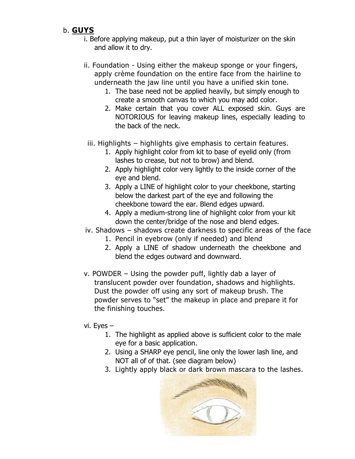# b. **GUYS**

- i. Before applying makeup, put a thin layer of moisturizer on the skin and allow it to dry.
- ii. Foundation Using either the makeup sponge or your fingers, apply crème foundation on the entire face from the hairline to underneath the jaw line until you have a unified skin tone.
	- 1. The base need not be applied heavily, but simply enough to create a smooth canvas to which you may add color.
	- 2. Make certain that you cover ALL exposed skin. Guys are NOTORIOUS for leaving makeup lines, especially leading to the back of the neck.
- iii. Highlights highlights give emphasis to certain features.
	- 1. Apply highlight color from kit to base of eyelid only (from lashes to crease, but not to brow) and blend.
	- 2. Apply highlight color very lightly to the inside corner of the eye and blend.
	- 3. Apply a LINE of highlight color to your cheekbone, starting below the darkest part of the eye and following the cheekbone toward the ear. Blend edges upward.
	- 4. Apply a medium-strong line of highlight color from your kit down the center/bridge of the nose and blend edges.
- iv. Shadows shadows create darkness to specific areas of the face
	- 1. Pencil in eyebrow (only if needed) and blend
	- 2. Apply a LINE of shadow underneath the cheekbone and blend the edges outward and downward.
- v. POWDER Using the powder puff, lightly dab a layer of translucent powder over foundation, shadows and highlights. Dust the powder off using any sort of makeup brush. The powder serves to "set" the makeup in place and prepare it for the finishing touches.
- vi. Eyes
	- 1. The highlight as applied above is sufficient color to the male eye for a basic application.
	- 2. Using a SHARP eye pencil, line only the lower lash line, and NOT all of of that. (see diagram below)
	- 3. Lightly apply black or dark brown mascara to the lashes.